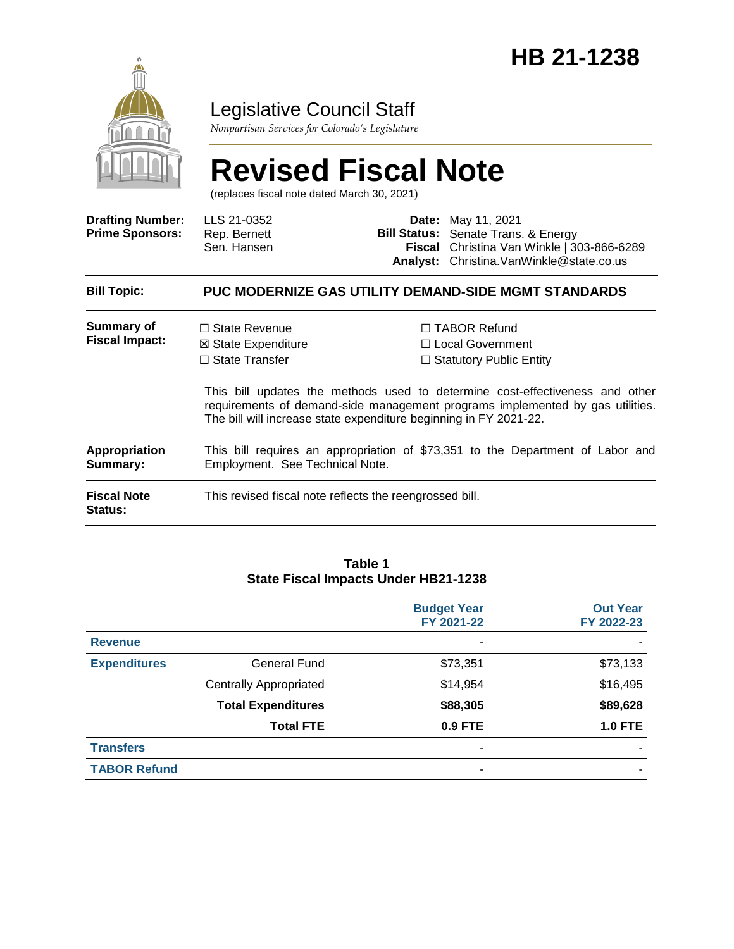

# Legislative Council Staff

*Nonpartisan Services for Colorado's Legislature*

# **Revised Fiscal Note**

(replaces fiscal note dated March 30, 2021)

| <b>Drafting Number:</b><br><b>Prime Sponsors:</b> | LLS 21-0352<br>Rep. Bernett<br>Sen. Hansen                                                                                                |  | <b>Date:</b> May 11, 2021<br><b>Bill Status:</b> Senate Trans. & Energy<br>Fiscal Christina Van Winkle   303-866-6289<br><b>Analyst:</b> Christina. Van Winkle @ state.co.us                                                                 |
|---------------------------------------------------|-------------------------------------------------------------------------------------------------------------------------------------------|--|----------------------------------------------------------------------------------------------------------------------------------------------------------------------------------------------------------------------------------------------|
| <b>Bill Topic:</b>                                |                                                                                                                                           |  | <b>PUC MODERNIZE GAS UTILITY DEMAND-SIDE MGMT STANDARDS</b>                                                                                                                                                                                  |
| Summary of<br><b>Fiscal Impact:</b>               | $\Box$ State Revenue<br>⊠ State Expenditure<br>$\Box$ State Transfer<br>The bill will increase state expenditure beginning in FY 2021-22. |  | $\Box$ TABOR Refund<br>□ Local Government<br>$\Box$ Statutory Public Entity<br>This bill updates the methods used to determine cost-effectiveness and other<br>requirements of demand-side management programs implemented by gas utilities. |
| Appropriation<br>Summary:                         | This bill requires an appropriation of \$73,351 to the Department of Labor and<br>Employment. See Technical Note.                         |  |                                                                                                                                                                                                                                              |
| <b>Fiscal Note</b><br>Status:                     | This revised fiscal note reflects the reengrossed bill.                                                                                   |  |                                                                                                                                                                                                                                              |

#### **Table 1 State Fiscal Impacts Under HB21-1238**

|                     |                               | <b>Budget Year</b><br>FY 2021-22 | <b>Out Year</b><br>FY 2022-23 |
|---------------------|-------------------------------|----------------------------------|-------------------------------|
| <b>Revenue</b>      |                               | $\overline{\phantom{0}}$         |                               |
| <b>Expenditures</b> | General Fund                  | \$73,351                         | \$73,133                      |
|                     | <b>Centrally Appropriated</b> | \$14,954                         | \$16,495                      |
|                     | <b>Total Expenditures</b>     | \$88,305                         | \$89,628                      |
|                     | <b>Total FTE</b>              | 0.9 FTE                          | <b>1.0 FTE</b>                |
| <b>Transfers</b>    |                               | ٠                                |                               |
| <b>TABOR Refund</b> |                               | ٠                                |                               |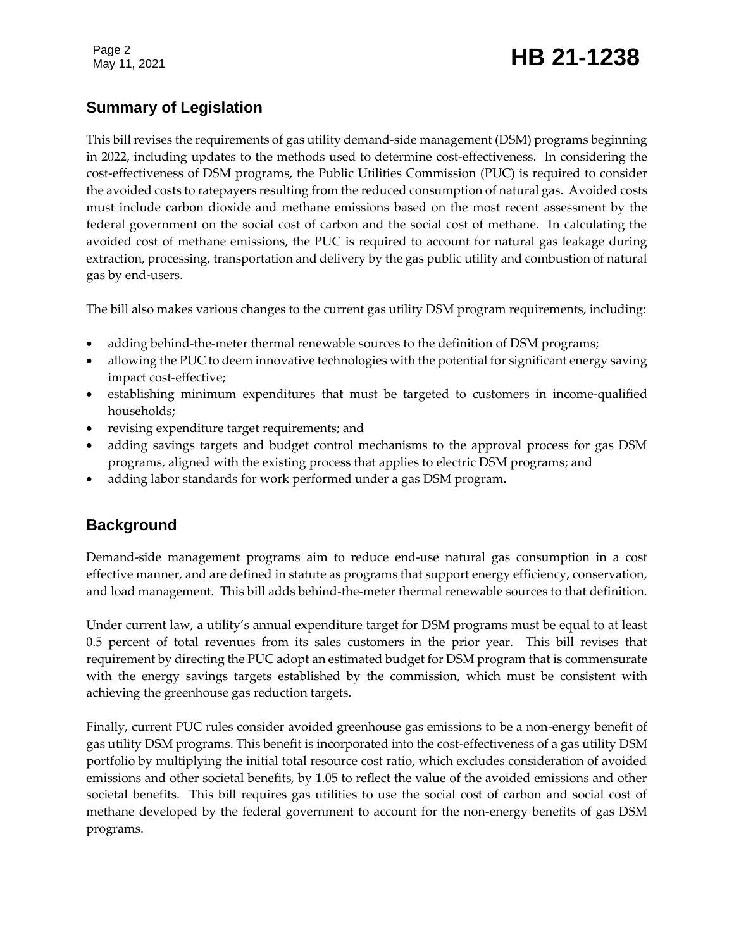Page 2

# Page 2<br>May 11, 2021 **HB 21-1238**

# **Summary of Legislation**

This bill revises the requirements of gas utility demand-side management (DSM) programs beginning in 2022, including updates to the methods used to determine cost-effectiveness. In considering the cost-effectiveness of DSM programs, the Public Utilities Commission (PUC) is required to consider the avoided costs to ratepayers resulting from the reduced consumption of natural gas. Avoided costs must include carbon dioxide and methane emissions based on the most recent assessment by the federal government on the social cost of carbon and the social cost of methane. In calculating the avoided cost of methane emissions, the PUC is required to account for natural gas leakage during extraction, processing, transportation and delivery by the gas public utility and combustion of natural gas by end-users.

The bill also makes various changes to the current gas utility DSM program requirements, including:

- adding behind-the-meter thermal renewable sources to the definition of DSM programs;
- allowing the PUC to deem innovative technologies with the potential for significant energy saving impact cost-effective;
- establishing minimum expenditures that must be targeted to customers in income-qualified households;
- revising expenditure target requirements; and
- adding savings targets and budget control mechanisms to the approval process for gas DSM programs, aligned with the existing process that applies to electric DSM programs; and
- adding labor standards for work performed under a gas DSM program.

### **Background**

Demand-side management programs aim to reduce end-use natural gas consumption in a cost effective manner, and are defined in statute as programs that support energy efficiency, conservation, and load management. This bill adds behind-the-meter thermal renewable sources to that definition.

Under current law, a utility's annual expenditure target for DSM programs must be equal to at least 0.5 percent of total revenues from its sales customers in the prior year. This bill revises that requirement by directing the PUC adopt an estimated budget for DSM program that is commensurate with the energy savings targets established by the commission, which must be consistent with achieving the greenhouse gas reduction targets.

Finally, current PUC rules consider avoided greenhouse gas emissions to be a non-energy benefit of gas utility DSM programs. This benefit is incorporated into the cost-effectiveness of a gas utility DSM portfolio by multiplying the initial total resource cost ratio, which excludes consideration of avoided emissions and other societal benefits, by 1.05 to reflect the value of the avoided emissions and other societal benefits. This bill requires gas utilities to use the social cost of carbon and social cost of methane developed by the federal government to account for the non-energy benefits of gas DSM programs.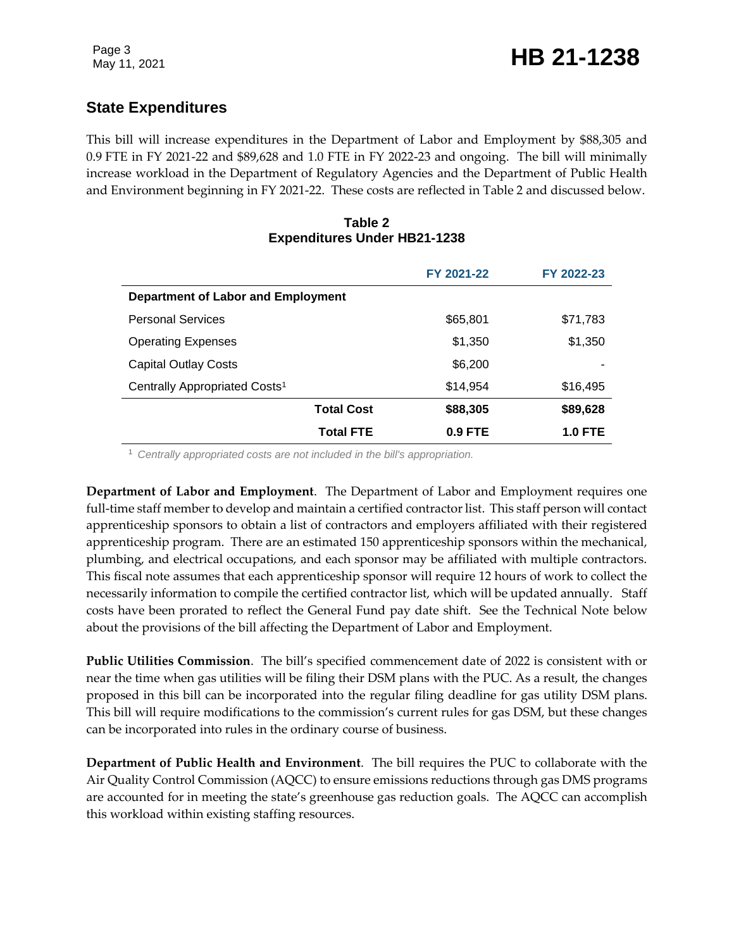# **State Expenditures**

This bill will increase expenditures in the Department of Labor and Employment by \$88,305 and 0.9 FTE in FY 2021-22 and \$89,628 and 1.0 FTE in FY 2022-23 and ongoing. The bill will minimally increase workload in the Department of Regulatory Agencies and the Department of Public Health and Environment beginning in FY 2021-22. These costs are reflected in Table 2 and discussed below.

#### **Table 2 Expenditures Under HB21-1238**

|                                           | FY 2021-22 | FY 2022-23     |
|-------------------------------------------|------------|----------------|
| Department of Labor and Employment        |            |                |
| <b>Personal Services</b>                  | \$65,801   | \$71,783       |
| <b>Operating Expenses</b>                 | \$1,350    | \$1,350        |
| <b>Capital Outlay Costs</b>               | \$6,200    |                |
| Centrally Appropriated Costs <sup>1</sup> | \$14.954   | \$16,495       |
| <b>Total Cost</b>                         | \$88,305   | \$89,628       |
| <b>Total FTE</b>                          | $0.9$ FTE  | <b>1.0 FTE</b> |

<sup>1</sup> *Centrally appropriated costs are not included in the bill's appropriation.*

**Department of Labor and Employment**. The Department of Labor and Employment requires one full-time staff member to develop and maintain a certified contractor list. This staff person will contact apprenticeship sponsors to obtain a list of contractors and employers affiliated with their registered apprenticeship program. There are an estimated 150 apprenticeship sponsors within the mechanical, plumbing, and electrical occupations, and each sponsor may be affiliated with multiple contractors. This fiscal note assumes that each apprenticeship sponsor will require 12 hours of work to collect the necessarily information to compile the certified contractor list, which will be updated annually. Staff costs have been prorated to reflect the General Fund pay date shift. See the Technical Note below about the provisions of the bill affecting the Department of Labor and Employment.

**Public Utilities Commission**. The bill's specified commencement date of 2022 is consistent with or near the time when gas utilities will be filing their DSM plans with the PUC. As a result, the changes proposed in this bill can be incorporated into the regular filing deadline for gas utility DSM plans. This bill will require modifications to the commission's current rules for gas DSM, but these changes can be incorporated into rules in the ordinary course of business.

**Department of Public Health and Environment**. The bill requires the PUC to collaborate with the Air Quality Control Commission (AQCC) to ensure emissions reductions through gas DMS programs are accounted for in meeting the state's greenhouse gas reduction goals. The AQCC can accomplish this workload within existing staffing resources.